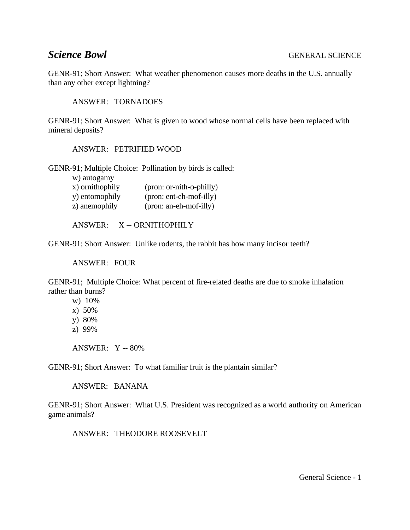GENR-91; Short Answer: What weather phenomenon causes more deaths in the U.S. annually than any other except lightning?

ANSWER: TORNADOES

GENR-91; Short Answer: What is given to wood whose normal cells have been replaced with mineral deposits?

ANSWER: PETRIFIED WOOD

GENR-91; Multiple Choice: Pollination by birds is called:

w) autogamy

| x) ornithophily | (pron: or-nith-o-philly) |
|-----------------|--------------------------|
| y) entomophily  | (pron: ent-eh-mof-illy)  |
| z) anemophily   | (pron: an-eh-mof-illy)   |

ANSWER: X -- ORNITHOPHILY

GENR-91; Short Answer: Unlike rodents, the rabbit has how many incisor teeth?

ANSWER: FOUR

GENR-91; Multiple Choice: What percent of fire-related deaths are due to smoke inhalation rather than burns?

w) 10%

x) 50%

y) 80%

z) 99%

ANSWER: Y -- 80%

GENR-91; Short Answer: To what familiar fruit is the plantain similar?

ANSWER: BANANA

GENR-91; Short Answer: What U.S. President was recognized as a world authority on American game animals?

ANSWER: THEODORE ROOSEVELT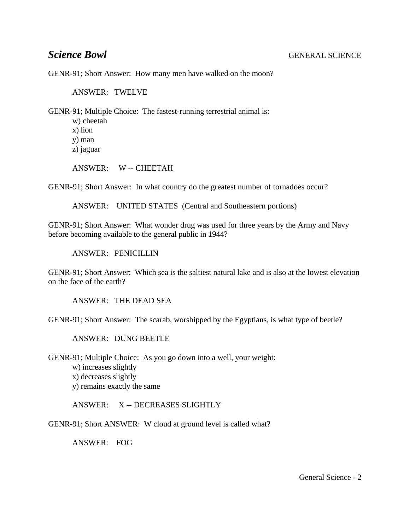GENR-91; Short Answer: How many men have walked on the moon?

ANSWER: TWELVE

GENR-91; Multiple Choice: The fastest-running terrestrial animal is:

w) cheetah x) lion y) man z) jaguar

ANSWER: W -- CHEETAH

GENR-91; Short Answer: In what country do the greatest number of tornadoes occur?

ANSWER: UNITED STATES (Central and Southeastern portions)

GENR-91; Short Answer: What wonder drug was used for three years by the Army and Navy before becoming available to the general public in 1944?

ANSWER: PENICILLIN

GENR-91; Short Answer: Which sea is the saltiest natural lake and is also at the lowest elevation on the face of the earth?

ANSWER: THE DEAD SEA

GENR-91; Short Answer: The scarab, worshipped by the Egyptians, is what type of beetle?

ANSWER: DUNG BEETLE

GENR-91; Multiple Choice: As you go down into a well, your weight:

- w) increases slightly
- x) decreases slightly
- y) remains exactly the same

ANSWER: X -- DECREASES SLIGHTLY

GENR-91; Short ANSWER: W cloud at ground level is called what?

ANSWER: FOG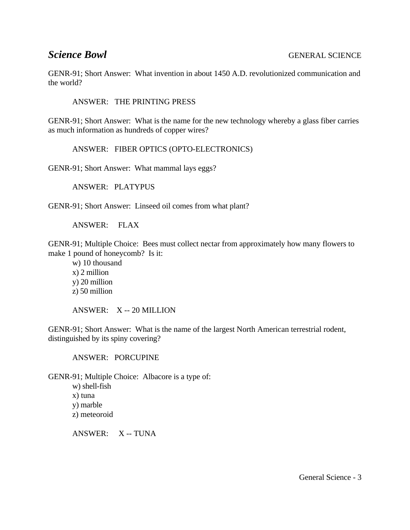GENR-91; Short Answer: What invention in about 1450 A.D. revolutionized communication and the world?

ANSWER: THE PRINTING PRESS

GENR-91; Short Answer: What is the name for the new technology whereby a glass fiber carries as much information as hundreds of copper wires?

ANSWER: FIBER OPTICS (OPTO-ELECTRONICS)

GENR-91; Short Answer: What mammal lays eggs?

ANSWER: PLATYPUS

GENR-91; Short Answer: Linseed oil comes from what plant?

ANSWER: FLAX

GENR-91; Multiple Choice: Bees must collect nectar from approximately how many flowers to make 1 pound of honeycomb? Is it:

w) 10 thousand x) 2 million y) 20 million z) 50 million

ANSWER: X -- 20 MILLION

GENR-91; Short Answer: What is the name of the largest North American terrestrial rodent, distinguished by its spiny covering?

ANSWER: PORCUPINE

GENR-91; Multiple Choice: Albacore is a type of:

w) shell-fish x) tuna y) marble z) meteoroid

ANSWER: X -- TUNA

General Science - 3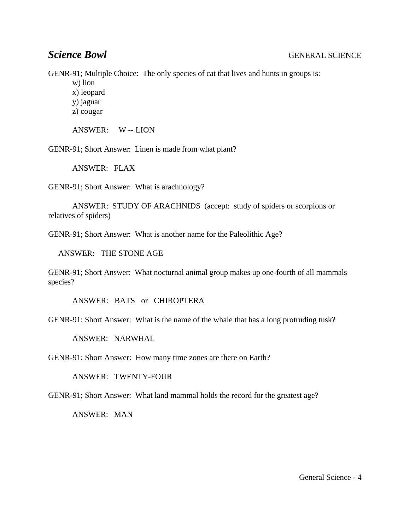GENR-91; Multiple Choice: The only species of cat that lives and hunts in groups is:

w) lion

x) leopard y) jaguar

z) cougar

ANSWER: W -- LION

GENR-91; Short Answer: Linen is made from what plant?

ANSWER: FLAX

GENR-91; Short Answer: What is arachnology?

ANSWER: STUDY OF ARACHNIDS (accept: study of spiders or scorpions or relatives of spiders)

GENR-91; Short Answer: What is another name for the Paleolithic Age?

ANSWER: THE STONE AGE

GENR-91; Short Answer: What nocturnal animal group makes up one-fourth of all mammals species?

ANSWER: BATS or CHIROPTERA

GENR-91; Short Answer: What is the name of the whale that has a long protruding tusk?

ANSWER: NARWHAL

GENR-91; Short Answer: How many time zones are there on Earth?

ANSWER: TWENTY-FOUR

GENR-91; Short Answer: What land mammal holds the record for the greatest age?

ANSWER: MAN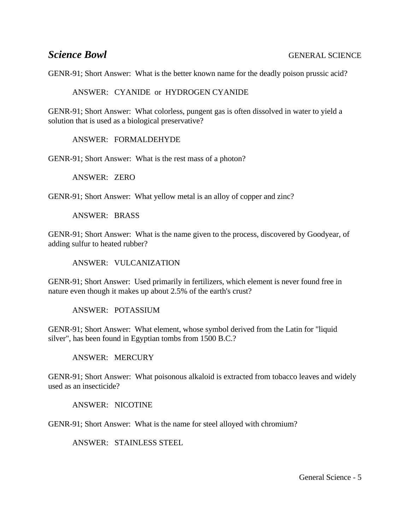GENR-91; Short Answer: What is the better known name for the deadly poison prussic acid?

ANSWER: CYANIDE or HYDROGEN CYANIDE

GENR-91; Short Answer: What colorless, pungent gas is often dissolved in water to yield a solution that is used as a biological preservative?

ANSWER: FORMALDEHYDE

GENR-91; Short Answer: What is the rest mass of a photon?

ANSWER: ZERO

GENR-91; Short Answer: What yellow metal is an alloy of copper and zinc?

ANSWER: BRASS

GENR-91; Short Answer: What is the name given to the process, discovered by Goodyear, of adding sulfur to heated rubber?

ANSWER: VULCANIZATION

GENR-91; Short Answer: Used primarily in fertilizers, which element is never found free in nature even though it makes up about 2.5% of the earth's crust?

ANSWER: POTASSIUM

GENR-91; Short Answer: What element, whose symbol derived from the Latin for "liquid silver", has been found in Egyptian tombs from 1500 B.C.?

ANSWER: MERCURY

GENR-91; Short Answer: What poisonous alkaloid is extracted from tobacco leaves and widely used as an insecticide?

ANSWER: NICOTINE

GENR-91; Short Answer: What is the name for steel alloyed with chromium?

ANSWER: STAINLESS STEEL

General Science - 5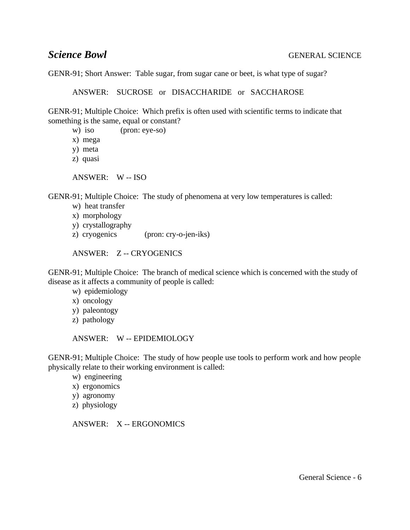GENR-91; Short Answer: Table sugar, from sugar cane or beet, is what type of sugar?

ANSWER: SUCROSE or DISACCHARIDE or SACCHAROSE

GENR-91; Multiple Choice: Which prefix is often used with scientific terms to indicate that something is the same, equal or constant?

- w) iso (pron: eye-so)
- x) mega
- y) meta
- z) quasi

ANSWER: W -- ISO

GENR-91; Multiple Choice: The study of phenomena at very low temperatures is called:

- w) heat transfer
- x) morphology
- y) crystallography
- z) cryogenics (pron: cry-o-jen-iks)

ANSWER: Z -- CRYOGENICS

GENR-91; Multiple Choice: The branch of medical science which is concerned with the study of disease as it affects a community of people is called:

w) epidemiology

- x) oncology
- y) paleontogy
- z) pathology

ANSWER: W -- EPIDEMIOLOGY

GENR-91; Multiple Choice: The study of how people use tools to perform work and how people physically relate to their working environment is called:

w) engineering

- x) ergonomics
- y) agronomy
- z) physiology

ANSWER: X -- ERGONOMICS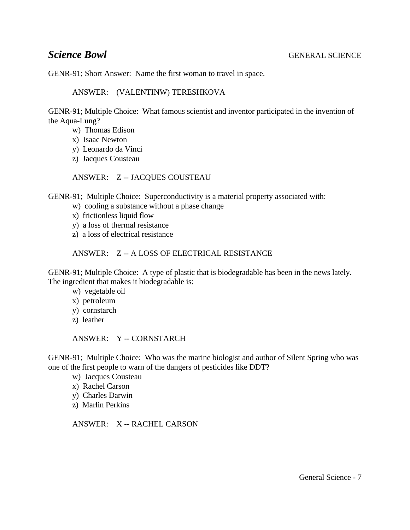GENR-91; Short Answer: Name the first woman to travel in space.

ANSWER: (VALENTINW) TERESHKOVA

GENR-91; Multiple Choice: What famous scientist and inventor participated in the invention of the Aqua-Lung?

- w) Thomas Edison
- x) Isaac Newton
- y) Leonardo da Vinci
- z) Jacques Cousteau

ANSWER: Z -- JACQUES COUSTEAU

GENR-91; Multiple Choice: Superconductivity is a material property associated with:

- w) cooling a substance without a phase change
- x) frictionless liquid flow
- y) a loss of thermal resistance
- z) a loss of electrical resistance

### ANSWER: Z -- A LOSS OF ELECTRICAL RESISTANCE

GENR-91; Multiple Choice: A type of plastic that is biodegradable has been in the news lately. The ingredient that makes it biodegradable is:

w) vegetable oil

- x) petroleum
- y) cornstarch
- z) leather

ANSWER: Y -- CORNSTARCH

GENR-91; Multiple Choice: Who was the marine biologist and author of Silent Spring who was one of the first people to warn of the dangers of pesticides like DDT?

- w) Jacques Cousteau
- x) Rachel Carson
- y) Charles Darwin
- z) Marlin Perkins

ANSWER: X -- RACHEL CARSON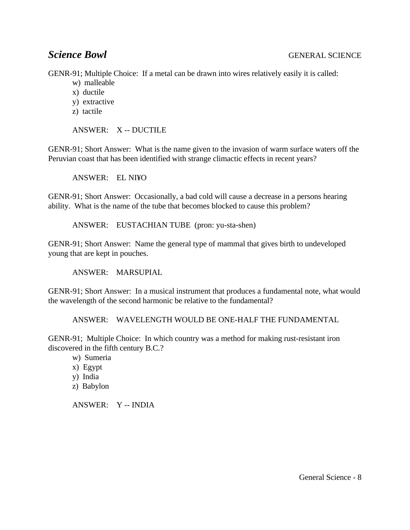GENR-91; Multiple Choice: If a metal can be drawn into wires relatively easily it is called:

- w) malleable
- x) ductile
- y) extractive
- z) tactile

ANSWER: X -- DUCTILE

GENR-91; Short Answer: What is the name given to the invasion of warm surface waters off the Peruvian coast that has been identified with strange climactic effects in recent years?

ANSWER: EL NI¥O

GENR-91; Short Answer: Occasionally, a bad cold will cause a decrease in a persons hearing ability. What is the name of the tube that becomes blocked to cause this problem?

ANSWER: EUSTACHIAN TUBE (pron: yu-sta-shen)

GENR-91; Short Answer: Name the general type of mammal that gives birth to undeveloped young that are kept in pouches.

ANSWER: MARSUPIAL

GENR-91; Short Answer: In a musical instrument that produces a fundamental note, what would the wavelength of the second harmonic be relative to the fundamental?

ANSWER: WAVELENGTH WOULD BE ONE-HALF THE FUNDAMENTAL

GENR-91; Multiple Choice: In which country was a method for making rust-resistant iron discovered in the fifth century B.C.?

w) Sumeria

- x) Egypt
- y) India
- z) Babylon

ANSWER: Y -- INDIA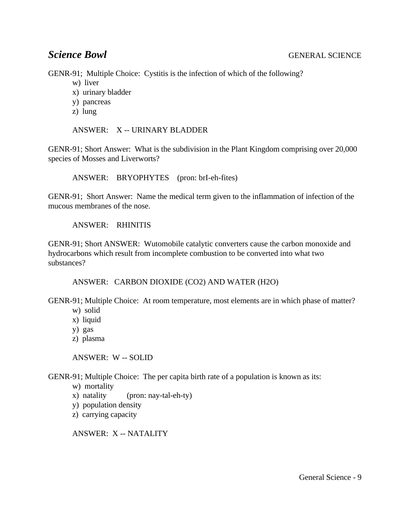GENR-91; Multiple Choice: Cystitis is the infection of which of the following?

- w) liver
- x) urinary bladder
- y) pancreas
- z) lung

ANSWER: X -- URINARY BLADDER

GENR-91; Short Answer: What is the subdivision in the Plant Kingdom comprising over 20,000 species of Mosses and Liverworts?

ANSWER: BRYOPHYTES (pron: brI-eh-fites)

GENR-91; Short Answer: Name the medical term given to the inflammation of infection of the mucous membranes of the nose.

ANSWER: RHINITIS

GENR-91; Short ANSWER: Wutomobile catalytic converters cause the carbon monoxide and hydrocarbons which result from incomplete combustion to be converted into what two substances?

ANSWER: CARBON DIOXIDE (CO2) AND WATER (H2O)

GENR-91; Multiple Choice: At room temperature, most elements are in which phase of matter?

- w) solid
- x) liquid
- y) gas
- z) plasma

ANSWER: W -- SOLID

GENR-91; Multiple Choice: The per capita birth rate of a population is known as its:

- w) mortality
- x) natality (pron: nay-tal-eh-ty)
- y) population density
- z) carrying capacity

ANSWER: X -- NATALITY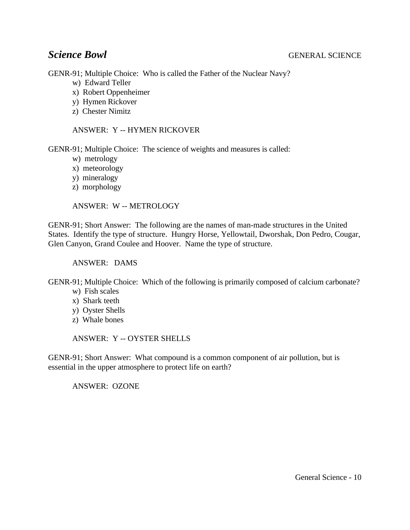GENR-91; Multiple Choice: Who is called the Father of the Nuclear Navy?

- w) Edward Teller
- x) Robert Oppenheimer
- y) Hymen Rickover
- z) Chester Nimitz

ANSWER: Y -- HYMEN RICKOVER

GENR-91; Multiple Choice: The science of weights and measures is called:

- w) metrology
- x) meteorology
- y) mineralogy
- z) morphology

ANSWER: W -- METROLOGY

GENR-91; Short Answer: The following are the names of man-made structures in the United States. Identify the type of structure. Hungry Horse, Yellowtail, Dworshak, Don Pedro, Cougar, Glen Canyon, Grand Coulee and Hoover. Name the type of structure.

ANSWER: DAMS

GENR-91; Multiple Choice: Which of the following is primarily composed of calcium carbonate?

- w) Fish scales
- x) Shark teeth
- y) Oyster Shells
- z) Whale bones

ANSWER: Y -- OYSTER SHELLS

GENR-91; Short Answer: What compound is a common component of air pollution, but is essential in the upper atmosphere to protect life on earth?

ANSWER: OZONE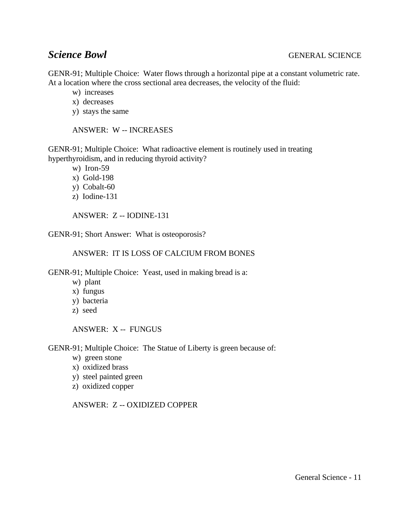GENR-91; Multiple Choice: Water flows through a horizontal pipe at a constant volumetric rate. At a location where the cross sectional area decreases, the velocity of the fluid:

- w) increases
- x) decreases
- y) stays the same

ANSWER: W -- INCREASES

GENR-91; Multiple Choice: What radioactive element is routinely used in treating hyperthyroidism, and in reducing thyroid activity?

w) Iron-59

- x) Gold-198
- y) Cobalt-60
- z) Iodine-131

ANSWER: Z -- IODINE-131

GENR-91; Short Answer: What is osteoporosis?

### ANSWER: IT IS LOSS OF CALCIUM FROM BONES

GENR-91; Multiple Choice: Yeast, used in making bread is a:

- w) plant
- x) fungus
- y) bacteria
- z) seed

ANSWER: X -- FUNGUS

GENR-91; Multiple Choice: The Statue of Liberty is green because of:

- w) green stone
- x) oxidized brass
- y) steel painted green
- z) oxidized copper

ANSWER: Z -- OXIDIZED COPPER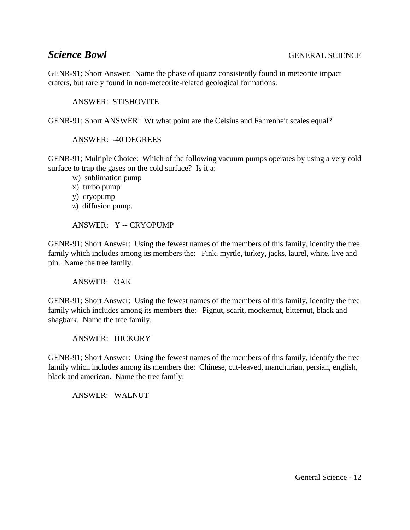GENR-91; Short Answer: Name the phase of quartz consistently found in meteorite impact craters, but rarely found in non-meteorite-related geological formations.

ANSWER: STISHOVITE

GENR-91; Short ANSWER: Wt what point are the Celsius and Fahrenheit scales equal?

ANSWER: -40 DEGREES

GENR-91; Multiple Choice: Which of the following vacuum pumps operates by using a very cold surface to trap the gases on the cold surface? Is it a:

- w) sublimation pump
- x) turbo pump
- y) cryopump
- z) diffusion pump.

ANSWER: Y -- CRYOPUMP

GENR-91; Short Answer: Using the fewest names of the members of this family, identify the tree family which includes among its members the: Fink, myrtle, turkey, jacks, laurel, white, live and pin. Name the tree family.

ANSWER: OAK

GENR-91; Short Answer: Using the fewest names of the members of this family, identify the tree family which includes among its members the: Pignut, scarit, mockernut, bitternut, black and shagbark. Name the tree family.

ANSWER: HICKORY

GENR-91; Short Answer: Using the fewest names of the members of this family, identify the tree family which includes among its members the: Chinese, cut-leaved, manchurian, persian, english, black and american. Name the tree family.

ANSWER: WALNUT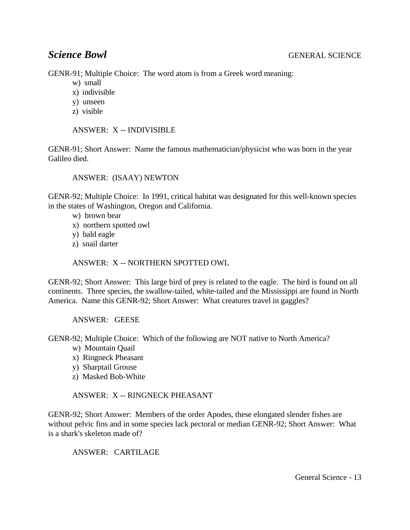GENR-91; Multiple Choice: The word atom is from a Greek word meaning:

- w) small
- x) indivisible
- y) unseen
- z) visible

ANSWER: X -- INDIVISIBLE

GENR-91; Short Answer: Name the famous mathematician/physicist who was born in the year Galileo died.

### ANSWER: (ISAAY) NEWTON

GENR-92; Multiple Choice: In 1991, critical habitat was designated for this well-known species in the states of Washington, Oregon and California.

- w) brown bear
- x) northern spotted owl
- y) bald eagle
- z) snail darter

ANSWER: X -- NORTHERN SPOTTED OWL

GENR-92; Short Answer: This large bird of prey is related to the eagle. The bird is found on all continents. Three species, the swallow-tailed, white-tailed and the Mississippi are found in North America. Name this GENR-92; Short Answer: What creatures travel in gaggles?

ANSWER: GEESE

GENR-92; Multiple Choice: Which of the following are NOT native to North America?

- w) Mountain Quail
- x) Ringneck Pheasant
- y) Sharptail Grouse
- z) Masked Bob-White

ANSWER: X -- RINGNECK PHEASANT

GENR-92; Short Answer: Members of the order Apodes, these elongated slender fishes are without pelvic fins and in some species lack pectoral or median GENR-92; Short Answer: What is a shark's skeleton made of?

ANSWER: CARTILAGE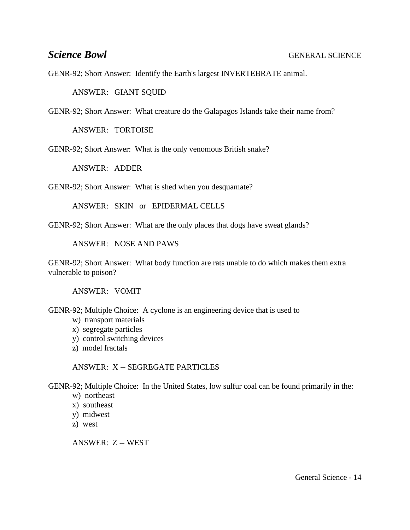GENR-92; Short Answer: Identify the Earth's largest INVERTEBRATE animal.

ANSWER: GIANT SQUID

GENR-92; Short Answer: What creature do the Galapagos Islands take their name from?

ANSWER: TORTOISE

GENR-92; Short Answer: What is the only venomous British snake?

ANSWER: ADDER

GENR-92; Short Answer: What is shed when you desquamate?

ANSWER: SKIN or EPIDERMAL CELLS

GENR-92; Short Answer: What are the only places that dogs have sweat glands?

ANSWER: NOSE AND PAWS

GENR-92; Short Answer: What body function are rats unable to do which makes them extra vulnerable to poison?

ANSWER: VOMIT

GENR-92; Multiple Choice: A cyclone is an engineering device that is used to

- w) transport materials
- x) segregate particles
- y) control switching devices
- z) model fractals

ANSWER: X -- SEGREGATE PARTICLES

GENR-92; Multiple Choice: In the United States, low sulfur coal can be found primarily in the:

- w) northeast
- x) southeast
- y) midwest
- z) west

ANSWER: Z -- WEST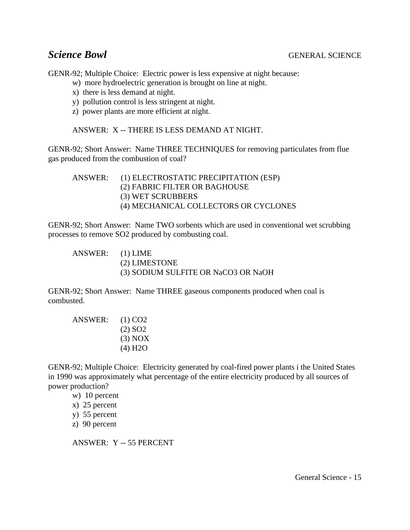GENR-92; Multiple Choice: Electric power is less expensive at night because:

- w) more hydroelectric generation is brought on line at night.
- x) there is less demand at night.
- y) pollution control is less stringent at night.
- z) power plants are more efficient at night.

ANSWER: X -- THERE IS LESS DEMAND AT NIGHT.

GENR-92; Short Answer: Name THREE TECHNIQUES for removing particulates from flue gas produced from the combustion of coal?

ANSWER: (1) ELECTROSTATIC PRECIPITATION (ESP) (2) FABRIC FILTER OR BAGHOUSE (3) WET SCRUBBERS (4) MECHANICAL COLLECTORS OR CYCLONES

GENR-92; Short Answer: Name TWO sorbents which are used in conventional wet scrubbing processes to remove SO2 produced by combusting coal.

ANSWER: (1) LIME (2) LIMESTONE (3) SODIUM SULFITE OR NaCO3 OR NaOH

GENR-92; Short Answer: Name THREE gaseous components produced when coal is combusted.

ANSWER: (1) CO2 (2) SO2 (3) NOX (4) H2O

GENR-92; Multiple Choice: Electricity generated by coal-fired power plants i the United States in 1990 was approximately what percentage of the entire electricity produced by all sources of power production?

w) 10 percent

x) 25 percent

y) 55 percent

z) 90 percent

ANSWER: Y -- 55 PERCENT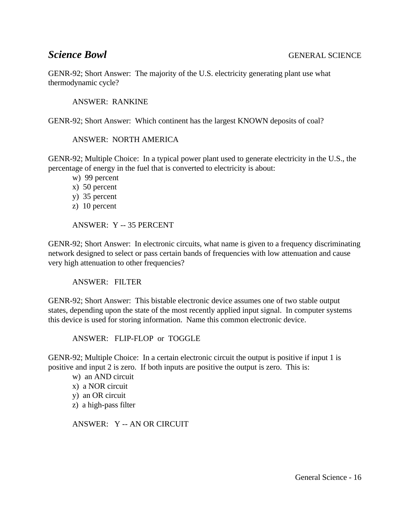GENR-92; Short Answer: The majority of the U.S. electricity generating plant use what thermodynamic cycle?

ANSWER: RANKINE

GENR-92; Short Answer: Which continent has the largest KNOWN deposits of coal?

ANSWER: NORTH AMERICA

GENR-92; Multiple Choice: In a typical power plant used to generate electricity in the U.S., the percentage of energy in the fuel that is converted to electricity is about:

w) 99 percent

- x) 50 percent
- y) 35 percent
- z) 10 percent

ANSWER: Y -- 35 PERCENT

GENR-92; Short Answer: In electronic circuits, what name is given to a frequency discriminating network designed to select or pass certain bands of frequencies with low attenuation and cause very high attenuation to other frequencies?

ANSWER: FILTER

GENR-92; Short Answer: This bistable electronic device assumes one of two stable output states, depending upon the state of the most recently applied input signal. In computer systems this device is used for storing information. Name this common electronic device.

ANSWER: FLIP-FLOP or TOGGLE

GENR-92; Multiple Choice: In a certain electronic circuit the output is positive if input 1 is positive and input 2 is zero. If both inputs are positive the output is zero. This is:

w) an AND circuit x) a NOR circuit y) an OR circuit z) a high-pass filter

ANSWER: Y -- AN OR CIRCUIT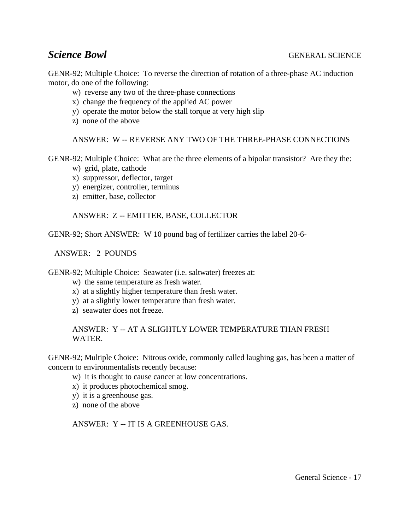GENR-92; Multiple Choice: To reverse the direction of rotation of a three-phase AC induction motor, do one of the following:

- w) reverse any two of the three-phase connections
- x) change the frequency of the applied AC power
- y) operate the motor below the stall torque at very high slip
- z) none of the above

ANSWER: W -- REVERSE ANY TWO OF THE THREE-PHASE CONNECTIONS

GENR-92; Multiple Choice: What are the three elements of a bipolar transistor? Are they the:

- w) grid, plate, cathode
- x) suppressor, deflector, target
- y) energizer, controller, terminus
- z) emitter, base, collector

ANSWER: Z -- EMITTER, BASE, COLLECTOR

GENR-92; Short ANSWER: W 10 pound bag of fertilizer carries the label 20-6-

ANSWER: 2 POUNDS

GENR-92; Multiple Choice: Seawater (i.e. saltwater) freezes at:

- w) the same temperature as fresh water.
- x) at a slightly higher temperature than fresh water.
- y) at a slightly lower temperature than fresh water.
- z) seawater does not freeze.

ANSWER: Y -- AT A SLIGHTLY LOWER TEMPERATURE THAN FRESH WATER.

GENR-92; Multiple Choice: Nitrous oxide, commonly called laughing gas, has been a matter of concern to environmentalists recently because:

- w) it is thought to cause cancer at low concentrations.
- x) it produces photochemical smog.
- y) it is a greenhouse gas.
- z) none of the above

ANSWER: Y -- IT IS A GREENHOUSE GAS.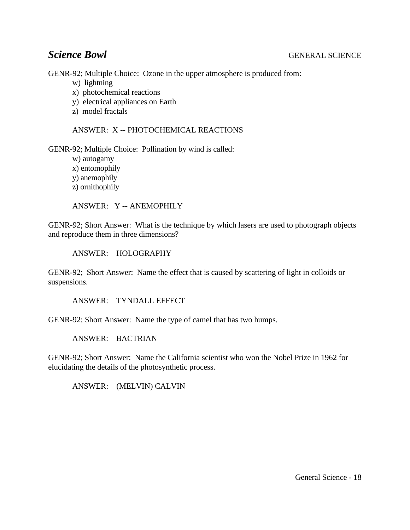GENR-92; Multiple Choice: Ozone in the upper atmosphere is produced from:

- w) lightning
- x) photochemical reactions
- y) electrical appliances on Earth
- z) model fractals

ANSWER: X -- PHOTOCHEMICAL REACTIONS

GENR-92; Multiple Choice: Pollination by wind is called:

w) autogamy x) entomophily y) anemophily z) ornithophily

ANSWER: Y -- ANEMOPHILY

GENR-92; Short Answer: What is the technique by which lasers are used to photograph objects and reproduce them in three dimensions?

ANSWER: HOLOGRAPHY

GENR-92; Short Answer: Name the effect that is caused by scattering of light in colloids or suspensions.

ANSWER: TYNDALL EFFECT

GENR-92; Short Answer: Name the type of camel that has two humps.

ANSWER: BACTRIAN

GENR-92; Short Answer: Name the California scientist who won the Nobel Prize in 1962 for elucidating the details of the photosynthetic process.

ANSWER: (MELVIN) CALVIN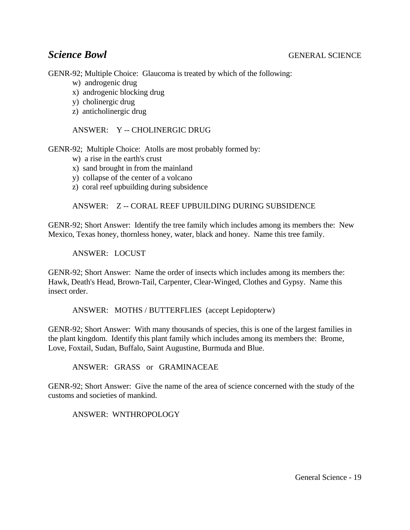GENR-92; Multiple Choice: Glaucoma is treated by which of the following:

- w) androgenic drug
- x) androgenic blocking drug
- y) cholinergic drug
- z) anticholinergic drug

ANSWER: Y -- CHOLINERGIC DRUG

GENR-92; Multiple Choice: Atolls are most probably formed by:

- w) a rise in the earth's crust
- x) sand brought in from the mainland
- y) collapse of the center of a volcano
- z) coral reef upbuilding during subsidence

# ANSWER: Z -- CORAL REEF UPBUILDING DURING SUBSIDENCE

GENR-92; Short Answer: Identify the tree family which includes among its members the: New Mexico, Texas honey, thornless honey, water, black and honey. Name this tree family.

ANSWER: LOCUST

GENR-92; Short Answer: Name the order of insects which includes among its members the: Hawk, Death's Head, Brown-Tail, Carpenter, Clear-Winged, Clothes and Gypsy. Name this insect order.

ANSWER: MOTHS / BUTTERFLIES (accept Lepidopterw)

GENR-92; Short Answer: With many thousands of species, this is one of the largest families in the plant kingdom. Identify this plant family which includes among its members the: Brome, Love, Foxtail, Sudan, Buffalo, Saint Augustine, Burmuda and Blue.

ANSWER: GRASS or GRAMINACEAE

GENR-92; Short Answer: Give the name of the area of science concerned with the study of the customs and societies of mankind.

ANSWER: WNTHROPOLOGY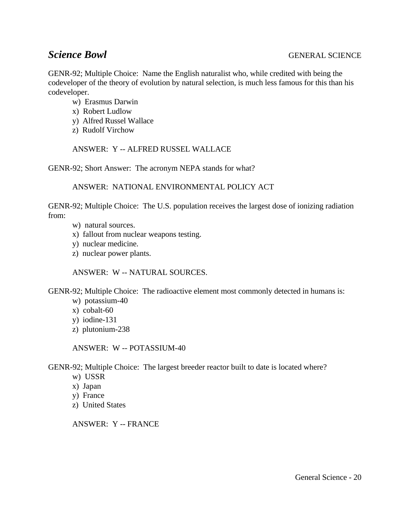GENR-92; Multiple Choice: Name the English naturalist who, while credited with being the codeveloper of the theory of evolution by natural selection, is much less famous for this than his codeveloper.

- w) Erasmus Darwin
- x) Robert Ludlow
- y) Alfred Russel Wallace
- z) Rudolf Virchow

ANSWER: Y -- ALFRED RUSSEL WALLACE

GENR-92; Short Answer: The acronym NEPA stands for what?

ANSWER: NATIONAL ENVIRONMENTAL POLICY ACT

GENR-92; Multiple Choice: The U.S. population receives the largest dose of ionizing radiation from:

- w) natural sources.
- x) fallout from nuclear weapons testing.
- y) nuclear medicine.
- z) nuclear power plants.

ANSWER: W -- NATURAL SOURCES.

GENR-92; Multiple Choice: The radioactive element most commonly detected in humans is:

- w) potassium-40
- x) cobalt-60
- y) iodine-131
- z) plutonium-238

ANSWER: W -- POTASSIUM-40

GENR-92; Multiple Choice: The largest breeder reactor built to date is located where?

- w) USSR
- x) Japan
- y) France
- z) United States

ANSWER: Y -- FRANCE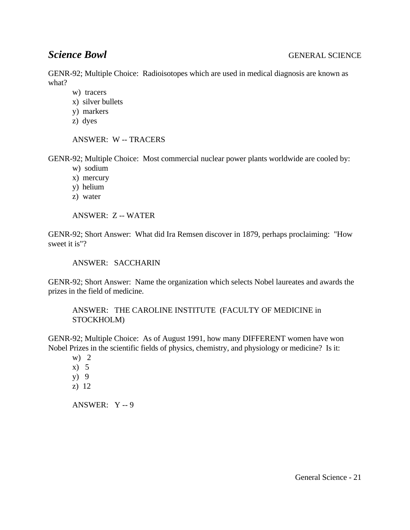GENR-92; Multiple Choice: Radioisotopes which are used in medical diagnosis are known as what?

- w) tracers
- x) silver bullets
- y) markers
- z) dyes

ANSWER: W -- TRACERS

GENR-92; Multiple Choice: Most commercial nuclear power plants worldwide are cooled by:

- w) sodium
- x) mercury
- y) helium
- z) water

ANSWER: Z -- WATER

GENR-92; Short Answer: What did Ira Remsen discover in 1879, perhaps proclaiming: "How sweet it is"?

ANSWER: SACCHARIN

GENR-92; Short Answer: Name the organization which selects Nobel laureates and awards the prizes in the field of medicine.

ANSWER: THE CAROLINE INSTITUTE (FACULTY OF MEDICINE in STOCKHOLM)

GENR-92; Multiple Choice: As of August 1991, how many DIFFERENT women have won Nobel Prizes in the scientific fields of physics, chemistry, and physiology or medicine? Is it:

w)  $2$ 

- x) 5
- y) 9
- z) 12

ANSWER: Y -- 9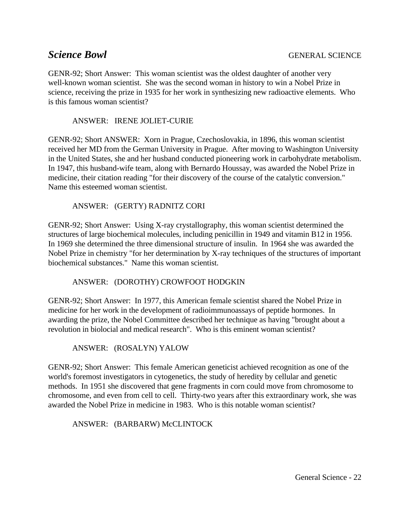GENR-92; Short Answer: This woman scientist was the oldest daughter of another very well-known woman scientist. She was the second woman in history to win a Nobel Prize in science, receiving the prize in 1935 for her work in synthesizing new radioactive elements. Who is this famous woman scientist?

### ANSWER: IRENE JOLIET-CURIE

GENR-92; Short ANSWER: Xorn in Prague, Czechoslovakia, in 1896, this woman scientist received her MD from the German University in Prague. After moving to Washington University in the United States, she and her husband conducted pioneering work in carbohydrate metabolism. In 1947, this husband-wife team, along with Bernardo Houssay, was awarded the Nobel Prize in medicine, their citation reading "for their discovery of the course of the catalytic conversion." Name this esteemed woman scientist.

### ANSWER: (GERTY) RADNITZ CORI

GENR-92; Short Answer: Using X-ray crystallography, this woman scientist determined the structures of large biochemical molecules, including penicillin in 1949 and vitamin B12 in 1956. In 1969 she determined the three dimensional structure of insulin. In 1964 she was awarded the Nobel Prize in chemistry "for her determination by X-ray techniques of the structures of important biochemical substances." Name this woman scientist.

### ANSWER: (DOROTHY) CROWFOOT HODGKIN

GENR-92; Short Answer: In 1977, this American female scientist shared the Nobel Prize in medicine for her work in the development of radioimmunoassays of peptide hormones. In awarding the prize, the Nobel Committee described her technique as having "brought about a revolution in biolocial and medical research". Who is this eminent woman scientist?

ANSWER: (ROSALYN) YALOW

GENR-92; Short Answer: This female American geneticist achieved recognition as one of the world's foremost investigators in cytogenetics, the study of heredity by cellular and genetic methods. In 1951 she discovered that gene fragments in corn could move from chromosome to chromosome, and even from cell to cell. Thirty-two years after this extraordinary work, she was awarded the Nobel Prize in medicine in 1983. Who is this notable woman scientist?

ANSWER: (BARBARW) McCLINTOCK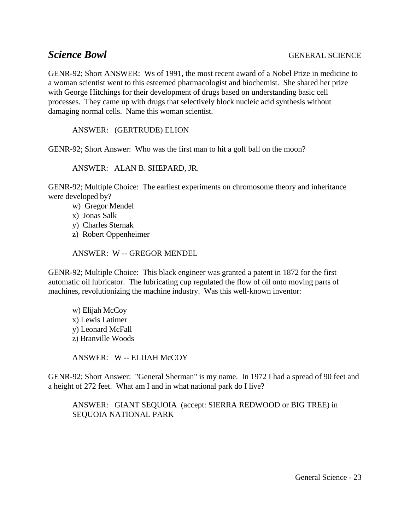GENR-92; Short ANSWER: Ws of 1991, the most recent award of a Nobel Prize in medicine to a woman scientist went to this esteemed pharmacologist and biochemist. She shared her prize with George Hitchings for their development of drugs based on understanding basic cell processes. They came up with drugs that selectively block nucleic acid synthesis without damaging normal cells. Name this woman scientist.

ANSWER: (GERTRUDE) ELION

GENR-92; Short Answer: Who was the first man to hit a golf ball on the moon?

ANSWER: ALAN B. SHEPARD, JR.

GENR-92; Multiple Choice: The earliest experiments on chromosome theory and inheritance were developed by?

- w) Gregor Mendel
- x) Jonas Salk
- y) Charles Sternak
- z) Robert Oppenheimer

ANSWER: W -- GREGOR MENDEL

GENR-92; Multiple Choice: This black engineer was granted a patent in 1872 for the first automatic oil lubricator. The lubricating cup regulated the flow of oil onto moving parts of machines, revolutionizing the machine industry. Was this well-known inventor:

w) Elijah McCoy x) Lewis Latimer y) Leonard McFall z) Branville Woods

ANSWER: W -- ELIJAH McCOY

GENR-92; Short Answer: "General Sherman" is my name. In 1972 I had a spread of 90 feet and a height of 272 feet. What am I and in what national park do I live?

ANSWER: GIANT SEQUOIA (accept: SIERRA REDWOOD or BIG TREE) in SEQUOIA NATIONAL PARK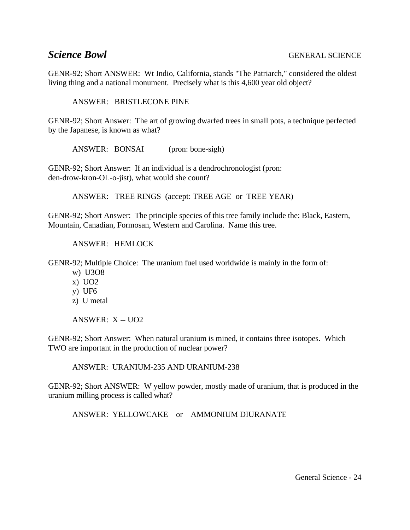GENR-92; Short ANSWER: Wt Indio, California, stands "The Patriarch," considered the oldest living thing and a national monument. Precisely what is this 4,600 year old object?

ANSWER: BRISTLECONE PINE

GENR-92; Short Answer: The art of growing dwarfed trees in small pots, a technique perfected by the Japanese, is known as what?

ANSWER: BONSAI (pron: bone-sigh)

GENR-92; Short Answer: If an individual is a dendrochronologist (pron: den-drow-kron-OL-o-jist), what would she count?

ANSWER: TREE RINGS (accept: TREE AGE or TREE YEAR)

GENR-92; Short Answer: The principle species of this tree family include the: Black, Eastern, Mountain, Canadian, Formosan, Western and Carolina. Name this tree.

ANSWER: HEMLOCK

GENR-92; Multiple Choice: The uranium fuel used worldwide is mainly in the form of:

- w) U3O8
- x) UO2
- y) UF6
- z) U metal

ANSWER: X -- UO2

GENR-92; Short Answer: When natural uranium is mined, it contains three isotopes. Which TWO are important in the production of nuclear power?

ANSWER: URANIUM-235 AND URANIUM-238

GENR-92; Short ANSWER: W yellow powder, mostly made of uranium, that is produced in the uranium milling process is called what?

ANSWER: YELLOWCAKE or AMMONIUM DIURANATE

General Science - 24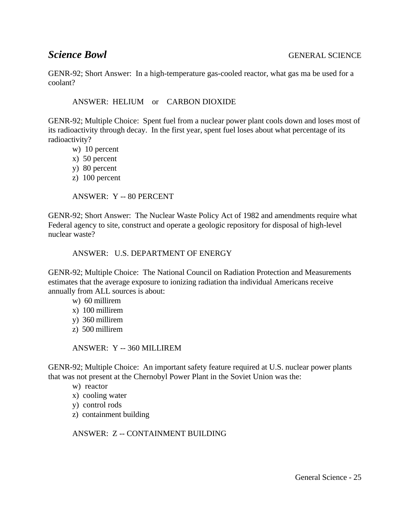GENR-92; Short Answer: In a high-temperature gas-cooled reactor, what gas ma be used for a coolant?

ANSWER: HELIUM or CARBON DIOXIDE

GENR-92; Multiple Choice: Spent fuel from a nuclear power plant cools down and loses most of its radioactivity through decay. In the first year, spent fuel loses about what percentage of its radioactivity?

- w) 10 percent
- x) 50 percent
- y) 80 percent
- z) 100 percent

ANSWER: Y -- 80 PERCENT

GENR-92; Short Answer: The Nuclear Waste Policy Act of 1982 and amendments require what Federal agency to site, construct and operate a geologic repository for disposal of high-level nuclear waste?

### ANSWER: U.S. DEPARTMENT OF ENERGY

GENR-92; Multiple Choice: The National Council on Radiation Protection and Measurements estimates that the average exposure to ionizing radiation tha individual Americans receive annually from ALL sources is about:

- w) 60 millirem
- x) 100 millirem
- y) 360 millirem
- z) 500 millirem

ANSWER: Y -- 360 MILLIREM

GENR-92; Multiple Choice: An important safety feature required at U.S. nuclear power plants that was not present at the Chernobyl Power Plant in the Soviet Union was the:

- w) reactor
- x) cooling water
- y) control rods
- z) containment building

ANSWER: Z -- CONTAINMENT BUILDING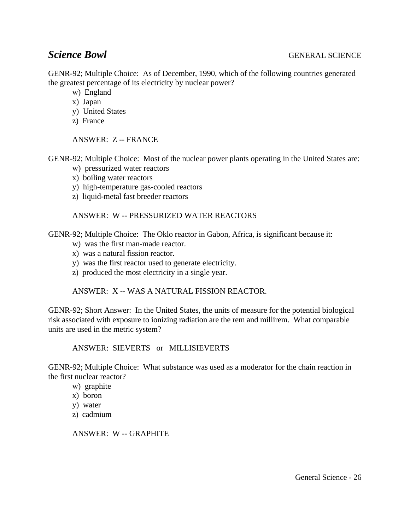GENR-92; Multiple Choice: As of December, 1990, which of the following countries generated the greatest percentage of its electricity by nuclear power?

- w) England
- x) Japan
- y) United States
- z) France

ANSWER: Z -- FRANCE

GENR-92; Multiple Choice: Most of the nuclear power plants operating in the United States are:

- w) pressurized water reactors
- x) boiling water reactors
- y) high-temperature gas-cooled reactors
- z) liquid-metal fast breeder reactors

### ANSWER: W -- PRESSURIZED WATER REACTORS

GENR-92; Multiple Choice: The Oklo reactor in Gabon, Africa, is significant because it:

- w) was the first man-made reactor.
- x) was a natural fission reactor.
- y) was the first reactor used to generate electricity.
- z) produced the most electricity in a single year.

ANSWER: X -- WAS A NATURAL FISSION REACTOR.

GENR-92; Short Answer: In the United States, the units of measure for the potential biological risk associated with exposure to ionizing radiation are the rem and millirem. What comparable units are used in the metric system?

ANSWER: SIEVERTS or MILLISIEVERTS

GENR-92; Multiple Choice: What substance was used as a moderator for the chain reaction in the first nuclear reactor?

- w) graphite
- x) boron
- y) water
- z) cadmium

ANSWER: W -- GRAPHITE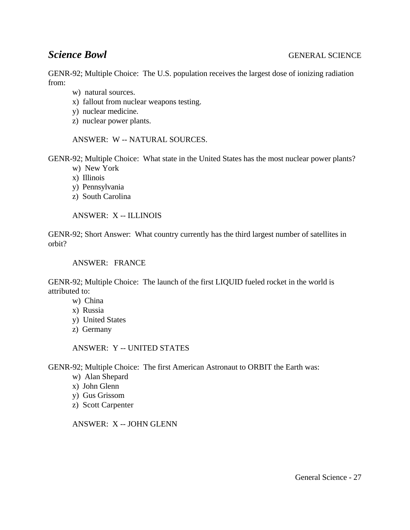GENR-92; Multiple Choice: The U.S. population receives the largest dose of ionizing radiation from:

- w) natural sources.
- x) fallout from nuclear weapons testing.
- y) nuclear medicine.
- z) nuclear power plants.

ANSWER: W -- NATURAL SOURCES.

GENR-92; Multiple Choice: What state in the United States has the most nuclear power plants?

- w) New York
- x) Illinois
- y) Pennsylvania
- z) South Carolina

ANSWER: X -- ILLINOIS

GENR-92; Short Answer: What country currently has the third largest number of satellites in orbit?

ANSWER: FRANCE

GENR-92; Multiple Choice: The launch of the first LIQUID fueled rocket in the world is attributed to:

- w) China
- x) Russia
- y) United States
- z) Germany

ANSWER: Y -- UNITED STATES

GENR-92; Multiple Choice: The first American Astronaut to ORBIT the Earth was:

- w) Alan Shepard
- x) John Glenn
- y) Gus Grissom
- z) Scott Carpenter

ANSWER: X -- JOHN GLENN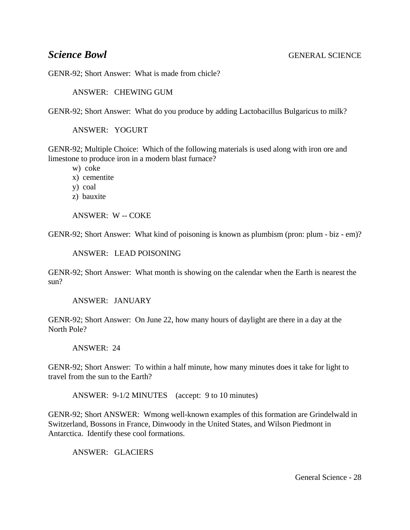GENR-92; Short Answer: What is made from chicle?

ANSWER: CHEWING GUM

GENR-92; Short Answer: What do you produce by adding Lactobacillus Bulgaricus to milk?

ANSWER: YOGURT

GENR-92; Multiple Choice: Which of the following materials is used along with iron ore and limestone to produce iron in a modern blast furnace?

w) coke

- x) cementite
- y) coal
- z) bauxite

ANSWER: W -- COKE

GENR-92; Short Answer: What kind of poisoning is known as plumbism (pron: plum - biz - em)?

### ANSWER: LEAD POISONING

GENR-92; Short Answer: What month is showing on the calendar when the Earth is nearest the sun?

### ANSWER: JANUARY

GENR-92; Short Answer: On June 22, how many hours of daylight are there in a day at the North Pole?

### ANSWER: 24

GENR-92; Short Answer: To within a half minute, how many minutes does it take for light to travel from the sun to the Earth?

ANSWER: 9-1/2 MINUTES (accept: 9 to 10 minutes)

GENR-92; Short ANSWER: Wmong well-known examples of this formation are Grindelwald in Switzerland, Bossons in France, Dinwoody in the United States, and Wilson Piedmont in Antarctica. Identify these cool formations.

ANSWER: GLACIERS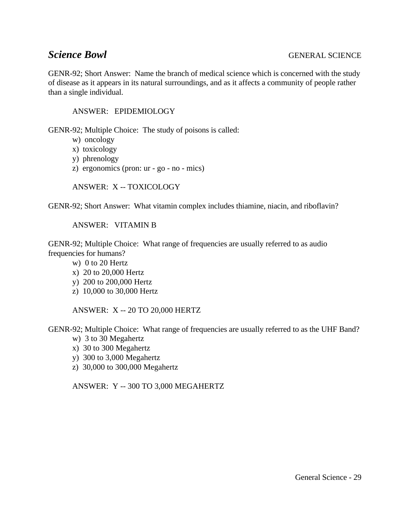GENR-92; Short Answer: Name the branch of medical science which is concerned with the study of disease as it appears in its natural surroundings, and as it affects a community of people rather than a single individual.

### ANSWER: EPIDEMIOLOGY

GENR-92; Multiple Choice: The study of poisons is called:

- w) oncology
- x) toxicology
- y) phrenology
- z) ergonomics (pron: ur go no mics)

ANSWER: X -- TOXICOLOGY

GENR-92; Short Answer: What vitamin complex includes thiamine, niacin, and riboflavin?

ANSWER: VITAMIN B

GENR-92; Multiple Choice: What range of frequencies are usually referred to as audio frequencies for humans?

- w) 0 to 20 Hertz
- x) 20 to 20,000 Hertz
- y) 200 to 200,000 Hertz
- z) 10,000 to 30,000 Hertz

ANSWER: X -- 20 TO 20,000 HERTZ

GENR-92; Multiple Choice: What range of frequencies are usually referred to as the UHF Band?

- w) 3 to 30 Megahertz
- x) 30 to 300 Megahertz
- y) 300 to 3,000 Megahertz
- z) 30,000 to 300,000 Megahertz

ANSWER: Y -- 300 TO 3,000 MEGAHERTZ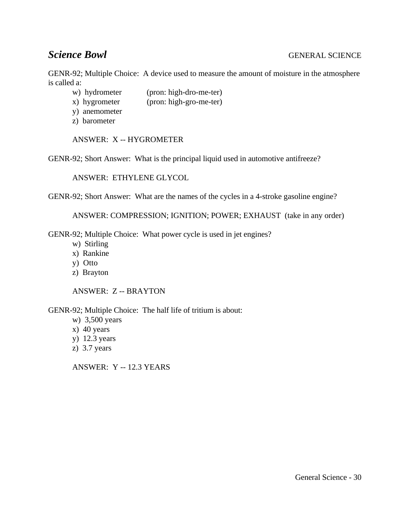GENR-92; Multiple Choice: A device used to measure the amount of moisture in the atmosphere is called a:

- w) hydrometer (pron: high-dro-me-ter)
- x) hygrometer (pron: high-gro-me-ter)
- y) anemometer
- z) barometer

ANSWER: X -- HYGROMETER

GENR-92; Short Answer: What is the principal liquid used in automotive antifreeze?

ANSWER: ETHYLENE GLYCOL

GENR-92; Short Answer: What are the names of the cycles in a 4-stroke gasoline engine?

ANSWER: COMPRESSION; IGNITION; POWER; EXHAUST (take in any order)

GENR-92; Multiple Choice: What power cycle is used in jet engines?

- w) Stirling
- x) Rankine
- y) Otto
- z) Brayton

ANSWER: Z -- BRAYTON

GENR-92; Multiple Choice: The half life of tritium is about:

- w) 3,500 years
- x) 40 years
- y) 12.3 years
- z) 3.7 years

ANSWER: Y -- 12.3 YEARS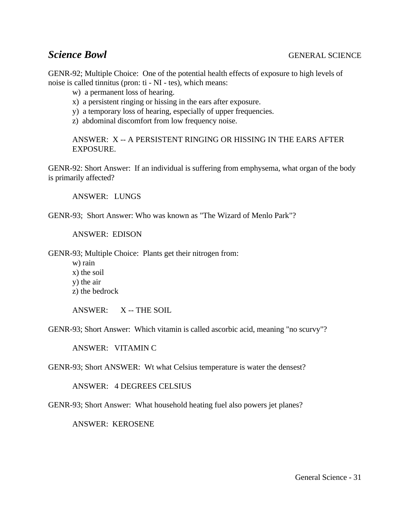GENR-92; Multiple Choice: One of the potential health effects of exposure to high levels of noise is called tinnitus (pron: ti - NI - tes), which means:

- w) a permanent loss of hearing.
- x) a persistent ringing or hissing in the ears after exposure.
- y) a temporary loss of hearing, especially of upper frequencies.
- z) abdominal discomfort from low frequency noise.

ANSWER: X -- A PERSISTENT RINGING OR HISSING IN THE EARS AFTER **EXPOSURE.** 

GENR-92: Short Answer: If an individual is suffering from emphysema, what organ of the body is primarily affected?

ANSWER: LUNGS

GENR-93; Short Answer: Who was known as "The Wizard of Menlo Park"?

ANSWER: EDISON

GENR-93; Multiple Choice: Plants get their nitrogen from:

w) rain

- x) the soil
- y) the air
- z) the bedrock

ANSWER: X -- THE SOIL

GENR-93; Short Answer: Which vitamin is called ascorbic acid, meaning "no scurvy"?

ANSWER: VITAMIN C

GENR-93; Short ANSWER: Wt what Celsius temperature is water the densest?

ANSWER: 4 DEGREES CELSIUS

GENR-93; Short Answer: What household heating fuel also powers jet planes?

ANSWER: KEROSENE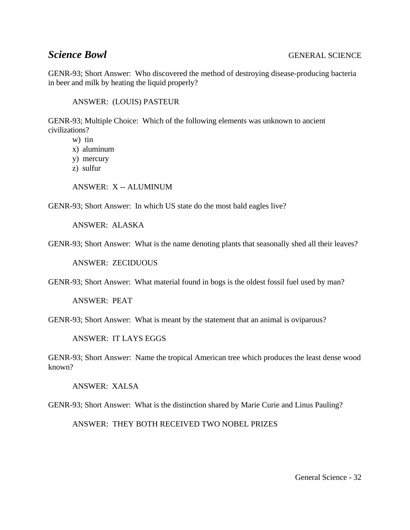GENR-93; Short Answer: Who discovered the method of destroying disease-producing bacteria in beer and milk by heating the liquid properly?

ANSWER: (LOUIS) PASTEUR

GENR-93; Multiple Choice: Which of the following elements was unknown to ancient civilizations?

w) tin

- x) aluminum
- y) mercury
- z) sulfur

ANSWER: X -- ALUMINUM

GENR-93; Short Answer: In which US state do the most bald eagles live?

ANSWER: ALASKA

GENR-93; Short Answer: What is the name denoting plants that seasonally shed all their leaves?

ANSWER: ZECIDUOUS

GENR-93; Short Answer: What material found in bogs is the oldest fossil fuel used by man?

ANSWER: PEAT

GENR-93; Short Answer: What is meant by the statement that an animal is oviparous?

ANSWER: IT LAYS EGGS

GENR-93; Short Answer: Name the tropical American tree which produces the least dense wood known?

ANSWER: XALSA

GENR-93; Short Answer: What is the distinction shared by Marie Curie and Linus Pauling?

ANSWER: THEY BOTH RECEIVED TWO NOBEL PRIZES

General Science - 32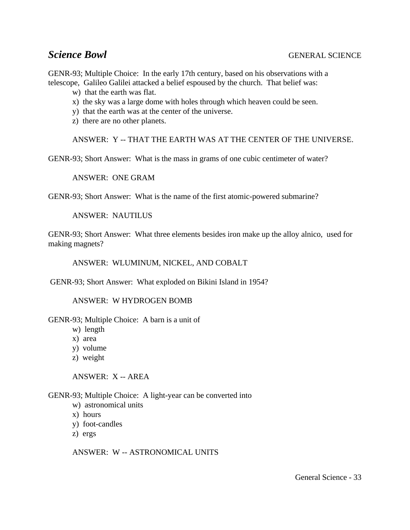GENR-93; Multiple Choice: In the early 17th century, based on his observations with a telescope, Galileo Galilei attacked a belief espoused by the church. That belief was:

- w) that the earth was flat.
- x) the sky was a large dome with holes through which heaven could be seen.
- y) that the earth was at the center of the universe.
- z) there are no other planets.

ANSWER: Y -- THAT THE EARTH WAS AT THE CENTER OF THE UNIVERSE.

GENR-93; Short Answer: What is the mass in grams of one cubic centimeter of water?

ANSWER: ONE GRAM

GENR-93; Short Answer: What is the name of the first atomic-powered submarine?

ANSWER: NAUTILUS

GENR-93; Short Answer: What three elements besides iron make up the alloy alnico, used for making magnets?

ANSWER: WLUMINUM, NICKEL, AND COBALT

GENR-93; Short Answer: What exploded on Bikini Island in 1954?

ANSWER: W HYDROGEN BOMB

GENR-93; Multiple Choice: A barn is a unit of

- w) length
- x) area
- y) volume
- z) weight

ANSWER: X -- AREA

GENR-93; Multiple Choice: A light-year can be converted into

- w) astronomical units
- x) hours
- y) foot-candles
- z) ergs

ANSWER: W -- ASTRONOMICAL UNITS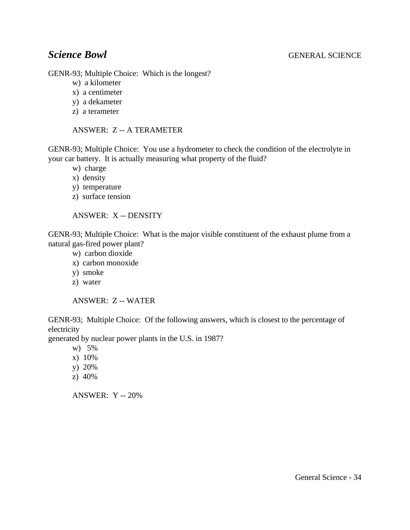GENR-93; Multiple Choice: Which is the longest?

- w) a kilometer
- x) a centimeter
- y) a dekameter
- z) a terameter

ANSWER: Z -- A TERAMETER

GENR-93; Multiple Choice: You use a hydrometer to check the condition of the electrolyte in your car battery. It is actually measuring what property of the fluid?

- w) charge
- x) density
- y) temperature
- z) surface tension

ANSWER: X -- DENSITY

GENR-93; Multiple Choice: What is the major visible constituent of the exhaust plume from a natural gas-fired power plant?

- w) carbon dioxide
- x) carbon monoxide
- y) smoke
- z) water

# ANSWER: Z -- WATER

GENR-93; Multiple Choice: Of the following answers, which is closest to the percentage of electricity

generated by nuclear power plants in the U.S. in 1987?

- w) 5%
- x) 10%
- y) 20%
- z) 40%

ANSWER: Y -- 20%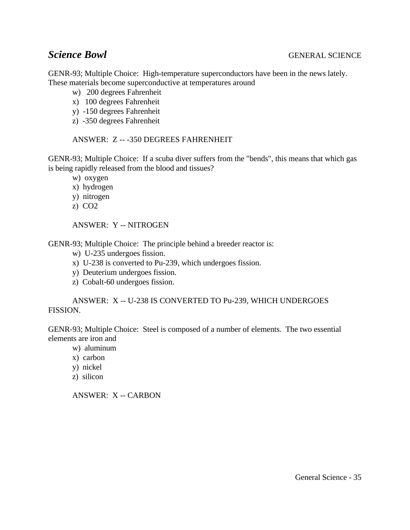GENR-93; Multiple Choice: High-temperature superconductors have been in the news lately. These materials become superconductive at temperatures around

- w) 200 degrees Fahrenheit
- x) 100 degrees Fahrenheit
- y) -150 degrees Fahrenheit
- z) -350 degrees Fahrenheit

### ANSWER: Z -- -350 DEGREES FAHRENHEIT

GENR-93; Multiple Choice: If a scuba diver suffers from the "bends", this means that which gas is being rapidly released from the blood and tissues?

- w) oxygen
- x) hydrogen
- y) nitrogen
- z) CO2

ANSWER: Y -- NITROGEN

GENR-93; Multiple Choice: The principle behind a breeder reactor is:

- w) U-235 undergoes fission.
- x) U-238 is converted to Pu-239, which undergoes fission.
- y) Deuterium undergoes fission.
- z) Cobalt-60 undergoes fission.

ANSWER: X -- U-238 IS CONVERTED TO Pu-239, WHICH UNDERGOES FISSION.

GENR-93; Multiple Choice: Steel is composed of a number of elements. The two essential elements are iron and

- w) aluminum
- x) carbon
- y) nickel
- z) silicon

ANSWER: X -- CARBON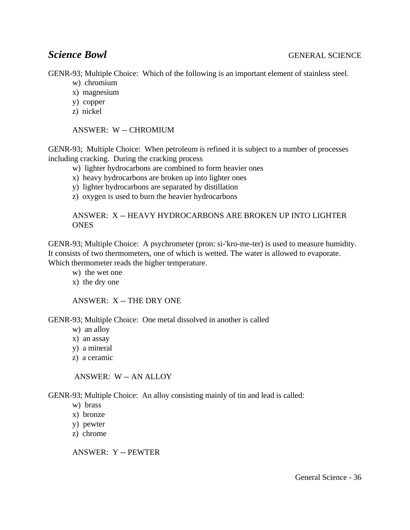GENR-93; Multiple Choice: Which of the following is an important element of stainless steel.

- w) chromium
- x) magnesium
- y) copper
- z) nickel

ANSWER: W -- CHROMIUM

GENR-93; Multiple Choice: When petroleum is refined it is subject to a number of processes including cracking. During the cracking process

- w) lighter hydrocarbons are combined to form heavier ones
- x) heavy hydrocarbons are broken up into lighter ones
- y) lighter hydrocarbons are separated by distillation
- z) oxygen is used to burn the heavier hydrocarbons

ANSWER: X -- HEAVY HYDROCARBONS ARE BROKEN UP INTO LIGHTER **ONES** 

GENR-93; Multiple Choice: A psychrometer (pron: si-'kro-me-ter) is used to measure humidity. It consists of two thermometers, one of which is wetted. The water is allowed to evaporate. Which thermometer reads the higher temperature.

- w) the wet one
- x) the dry one

ANSWER: X -- THE DRY ONE

GENR-93; Multiple Choice: One metal dissolved in another is called

- w) an alloy
- x) an assay
- y) a mineral
- z) a ceramic

ANSWER: W -- AN ALLOY

GENR-93; Multiple Choice: An alloy consisting mainly of tin and lead is called:

- w) brass
- x) bronze
- y) pewter
- z) chrome

ANSWER: Y -- PEWTER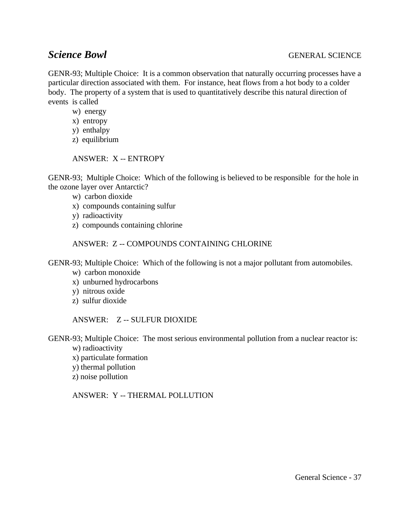GENR-93; Multiple Choice: It is a common observation that naturally occurring processes have a particular direction associated with them. For instance, heat flows from a hot body to a colder body. The property of a system that is used to quantitatively describe this natural direction of events is called

- w) energy
- x) entropy
- y) enthalpy
- z) equilibrium

ANSWER: X -- ENTROPY

GENR-93; Multiple Choice: Which of the following is believed to be responsible for the hole in the ozone layer over Antarctic?

- w) carbon dioxide
- x) compounds containing sulfur
- y) radioactivity
- z) compounds containing chlorine

ANSWER: Z -- COMPOUNDS CONTAINING CHLORINE

GENR-93; Multiple Choice: Which of the following is not a major pollutant from automobiles.

- w) carbon monoxide
- x) unburned hydrocarbons
- y) nitrous oxide
- z) sulfur dioxide

ANSWER: Z -- SULFUR DIOXIDE

GENR-93; Multiple Choice: The most serious environmental pollution from a nuclear reactor is: w) radioactivity

x) particulate formation

- y) thermal pollution
- z) noise pollution

ANSWER: Y -- THERMAL POLLUTION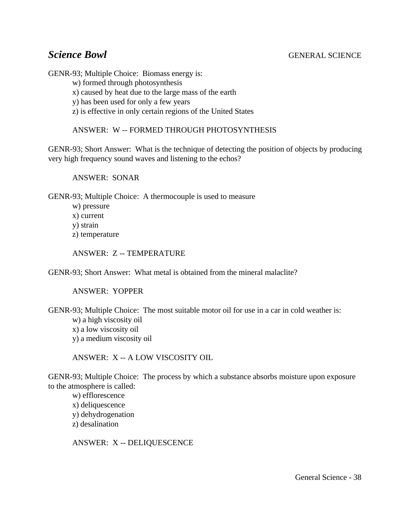GENR-93; Multiple Choice: Biomass energy is:

w) formed through photosynthesis

x) caused by heat due to the large mass of the earth

y) has been used for only a few years

z) is effective in only certain regions of the United States

ANSWER: W -- FORMED THROUGH PHOTOSYNTHESIS

GENR-93; Short Answer: What is the technique of detecting the position of objects by producing very high frequency sound waves and listening to the echos?

ANSWER: SONAR

GENR-93; Multiple Choice: A thermocouple is used to measure

- w) pressure
- x) current
- y) strain

z) temperature

ANSWER: Z -- TEMPERATURE

GENR-93; Short Answer: What metal is obtained from the mineral malaclite?

ANSWER: YOPPER

GENR-93; Multiple Choice: The most suitable motor oil for use in a car in cold weather is:

w) a high viscosity oil x) a low viscosity oil y) a medium viscosity oil

ANSWER: X -- A LOW VISCOSITY OIL

GENR-93; Multiple Choice: The process by which a substance absorbs moisture upon exposure to the atmosphere is called:

w) efflorescence x) deliquescence y) dehydrogenation z) desalination

ANSWER: X -- DELIQUESCENCE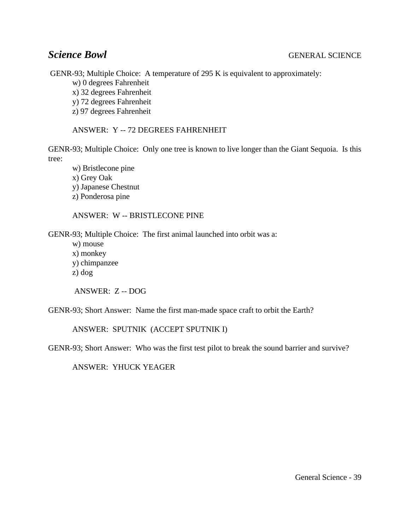GENR-93; Multiple Choice: A temperature of 295 K is equivalent to approximately:

w) 0 degrees Fahrenheit

x) 32 degrees Fahrenheit

y) 72 degrees Fahrenheit

z) 97 degrees Fahrenheit

ANSWER: Y -- 72 DEGREES FAHRENHEIT

GENR-93; Multiple Choice: Only one tree is known to live longer than the Giant Sequoia. Is this tree:

w) Bristlecone pine x) Grey Oak

y) Japanese Chestnut

z) Ponderosa pine

ANSWER: W -- BRISTLECONE PINE

GENR-93; Multiple Choice: The first animal launched into orbit was a:

w) mouse x) monkey y) chimpanzee z) dog

ANSWER: Z -- DOG

GENR-93; Short Answer: Name the first man-made space craft to orbit the Earth?

ANSWER: SPUTNIK (ACCEPT SPUTNIK I)

GENR-93; Short Answer: Who was the first test pilot to break the sound barrier and survive?

ANSWER: YHUCK YEAGER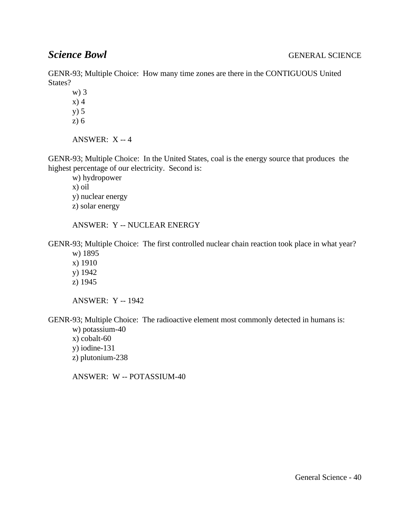GENR-93; Multiple Choice: How many time zones are there in the CONTIGUOUS United States?

w) 3 x) 4 y) 5

z) 6

ANSWER: X -- 4

GENR-93; Multiple Choice: In the United States, coal is the energy source that produces the highest percentage of our electricity. Second is:

w) hydropower x) oil y) nuclear energy z) solar energy

ANSWER: Y -- NUCLEAR ENERGY

GENR-93; Multiple Choice: The first controlled nuclear chain reaction took place in what year?

w) 1895 x) 1910 y) 1942 z) 1945

ANSWER: Y -- 1942

GENR-93; Multiple Choice: The radioactive element most commonly detected in humans is:

- w) potassium-40 x) cobalt-60 y) iodine-131
- z) plutonium-238

ANSWER: W -- POTASSIUM-40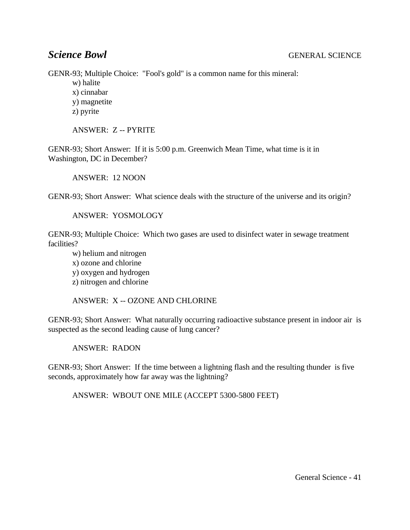GENR-93; Multiple Choice: "Fool's gold" is a common name for this mineral:

- w) halite
- x) cinnabar
- y) magnetite
- z) pyrite

ANSWER: Z -- PYRITE

GENR-93; Short Answer: If it is 5:00 p.m. Greenwich Mean Time, what time is it in Washington, DC in December?

ANSWER: 12 NOON

GENR-93; Short Answer: What science deals with the structure of the universe and its origin?

ANSWER: YOSMOLOGY

GENR-93; Multiple Choice: Which two gases are used to disinfect water in sewage treatment facilities?

w) helium and nitrogen x) ozone and chlorine y) oxygen and hydrogen z) nitrogen and chlorine

ANSWER: X -- OZONE AND CHLORINE

GENR-93; Short Answer: What naturally occurring radioactive substance present in indoor air is suspected as the second leading cause of lung cancer?

ANSWER: RADON

GENR-93; Short Answer: If the time between a lightning flash and the resulting thunder is five seconds, approximately how far away was the lightning?

ANSWER: WBOUT ONE MILE (ACCEPT 5300-5800 FEET)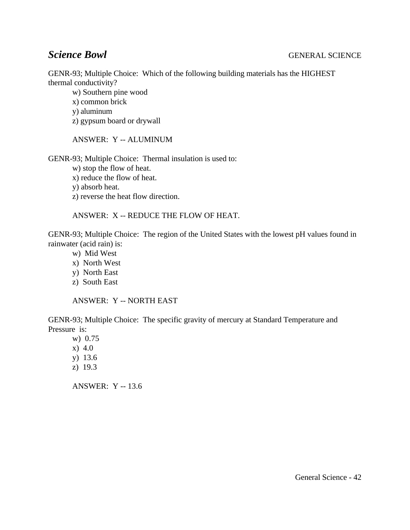GENR-93; Multiple Choice: Which of the following building materials has the HIGHEST thermal conductivity?

w) Southern pine wood x) common brick y) aluminum z) gypsum board or drywall

ANSWER: Y -- ALUMINUM

GENR-93; Multiple Choice: Thermal insulation is used to:

w) stop the flow of heat.

x) reduce the flow of heat.

y) absorb heat.

z) reverse the heat flow direction.

ANSWER: X -- REDUCE THE FLOW OF HEAT.

GENR-93; Multiple Choice: The region of the United States with the lowest pH values found in rainwater (acid rain) is:

- w) Mid West
- x) North West
- y) North East
- z) South East

ANSWER: Y -- NORTH EAST

GENR-93; Multiple Choice: The specific gravity of mercury at Standard Temperature and Pressure is:

w) 0.75 x) 4.0 y) 13.6 z) 19.3 ANSWER: Y -- 13.6

General Science - 42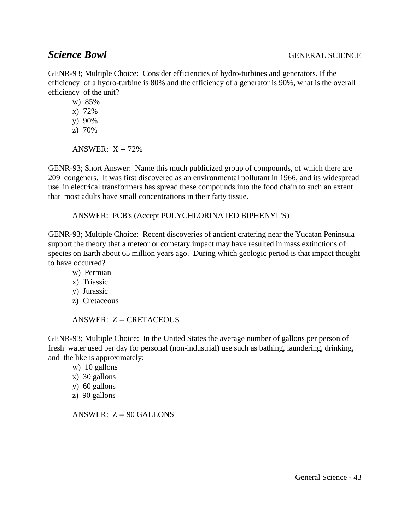GENR-93; Multiple Choice: Consider efficiencies of hydro-turbines and generators. If the efficiency of a hydro-turbine is 80% and the efficiency of a generator is 90%, what is the overall efficiency of the unit?

w) 85%

x) 72%

y) 90%

z) 70%

ANSWER:  $X - 72\%$ 

GENR-93; Short Answer: Name this much publicized group of compounds, of which there are 209 congeners. It was first discovered as an environmental pollutant in 1966, and its widespread use in electrical transformers has spread these compounds into the food chain to such an extent that most adults have small concentrations in their fatty tissue.

ANSWER: PCB's (Accept POLYCHLORINATED BIPHENYL'S)

GENR-93; Multiple Choice: Recent discoveries of ancient cratering near the Yucatan Peninsula support the theory that a meteor or cometary impact may have resulted in mass extinctions of species on Earth about 65 million years ago. During which geologic period is that impact thought to have occurred?

- w) Permian
- x) Triassic
- y) Jurassic
- z) Cretaceous

### ANSWER: Z -- CRETACEOUS

GENR-93; Multiple Choice: In the United States the average number of gallons per person of fresh water used per day for personal (non-industrial) use such as bathing, laundering, drinking, and the like is approximately:

w) 10 gallons

- x) 30 gallons
- y) 60 gallons
- z) 90 gallons

ANSWER: Z -- 90 GALLONS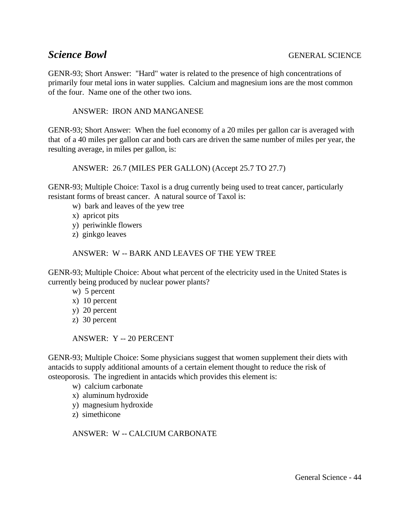GENR-93; Short Answer: "Hard" water is related to the presence of high concentrations of primarily four metal ions in water supplies. Calcium and magnesium ions are the most common of the four. Name one of the other two ions.

### ANSWER: IRON AND MANGANESE

GENR-93; Short Answer: When the fuel economy of a 20 miles per gallon car is averaged with that of a 40 miles per gallon car and both cars are driven the same number of miles per year, the resulting average, in miles per gallon, is:

ANSWER: 26.7 (MILES PER GALLON) (Accept 25.7 TO 27.7)

GENR-93; Multiple Choice: Taxol is a drug currently being used to treat cancer, particularly resistant forms of breast cancer. A natural source of Taxol is:

- w) bark and leaves of the yew tree
- x) apricot pits
- y) periwinkle flowers
- z) ginkgo leaves

### ANSWER: W -- BARK AND LEAVES OF THE YEW TREE

GENR-93; Multiple Choice: About what percent of the electricity used in the United States is currently being produced by nuclear power plants?

- w) 5 percent
- x) 10 percent
- y) 20 percent
- z) 30 percent

ANSWER: Y -- 20 PERCENT

GENR-93; Multiple Choice: Some physicians suggest that women supplement their diets with antacids to supply additional amounts of a certain element thought to reduce the risk of osteoporosis. The ingredient in antacids which provides this element is:

- w) calcium carbonate
- x) aluminum hydroxide
- y) magnesium hydroxide
- z) simethicone

ANSWER: W -- CALCIUM CARBONATE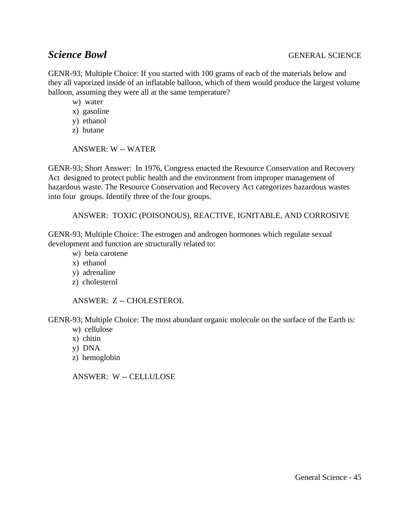GENR-93; Multiple Choice: If you started with 100 grams of each of the materials below and they all vaporized inside of an inflatable balloon, which of them would produce the largest volume balloon, assuming they were all at the same temperature?

w) water

- x) gasoline
- y) ethanol
- z) butane

### ANSWER: W -- WATER

GENR-93; Short Answer: In 1976, Congress enacted the Resource Conservation and Recovery Act designed to protect public health and the environment from improper management of hazardous waste. The Resource Conservation and Recovery Act categorizes hazardous wastes into four groups. Identify three of the four groups.

ANSWER: TOXIC (POISONOUS), REACTIVE, IGNITABLE, AND CORROSIVE

GENR-93; Multiple Choice: The estrogen and androgen hormones which regulate sexual development and function are structurally related to:

- w) beta carotene
- x) ethanol
- y) adrenaline
- z) cholesterol

ANSWER: Z -- CHOLESTEROL

GENR-93; Multiple Choice: The most abundant organic molecule on the surface of the Earth is:

- w) cellulose
- x) chitin
- y) DNA
- z) hemoglobin

ANSWER: W -- CELLULOSE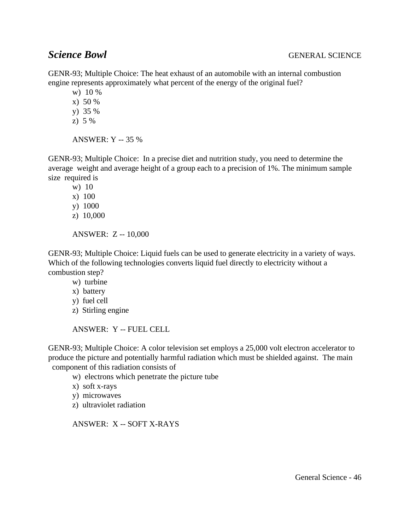GENR-93; Multiple Choice: The heat exhaust of an automobile with an internal combustion engine represents approximately what percent of the energy of the original fuel?

w) 10 %

x) 50 %

y) 35 %

z) 5 %

ANSWER: Y -- 35 %

GENR-93; Multiple Choice: In a precise diet and nutrition study, you need to determine the average weight and average height of a group each to a precision of 1%. The minimum sample size required is

w) 10 x) 100 y) 1000 z) 10,000

ANSWER: Z -- 10,000

GENR-93; Multiple Choice: Liquid fuels can be used to generate electricity in a variety of ways. Which of the following technologies converts liquid fuel directly to electricity without a combustion step?

w) turbine

- x) battery
- y) fuel cell
- z) Stirling engine

ANSWER: Y -- FUEL CELL

GENR-93; Multiple Choice: A color television set employs a 25,000 volt electron accelerator to produce the picture and potentially harmful radiation which must be shielded against. The main component of this radiation consists of

w) electrons which penetrate the picture tube

- x) soft x-rays
- y) microwaves
- z) ultraviolet radiation

ANSWER: X -- SOFT X-RAYS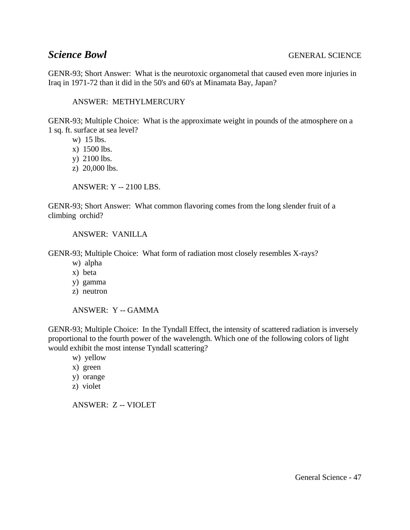GENR-93; Short Answer: What is the neurotoxic organometal that caused even more injuries in Iraq in 1971-72 than it did in the 50's and 60's at Minamata Bay, Japan?

### ANSWER: METHYLMERCURY

GENR-93; Multiple Choice: What is the approximate weight in pounds of the atmosphere on a 1 sq. ft. surface at sea level?

- w) 15 lbs.
- x) 1500 lbs.
- y) 2100 lbs.
- z) 20,000 lbs.

ANSWER: Y -- 2100 LBS.

GENR-93; Short Answer: What common flavoring comes from the long slender fruit of a climbing orchid?

ANSWER: VANILLA

GENR-93; Multiple Choice: What form of radiation most closely resembles X-rays?

- w) alpha
- x) beta
- y) gamma
- z) neutron

ANSWER: Y -- GAMMA

GENR-93; Multiple Choice: In the Tyndall Effect, the intensity of scattered radiation is inversely proportional to the fourth power of the wavelength. Which one of the following colors of light would exhibit the most intense Tyndall scattering?

- w) yellow
- x) green
- y) orange
- z) violet

ANSWER: Z -- VIOLET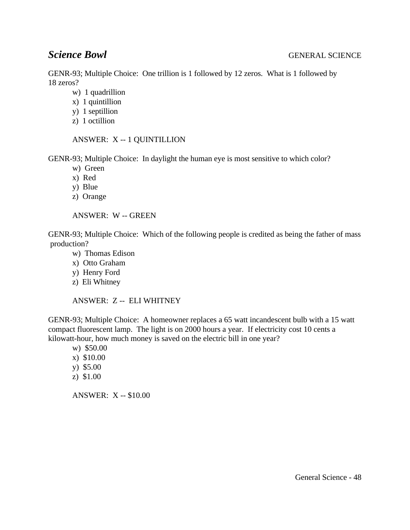GENR-93; Multiple Choice: One trillion is 1 followed by 12 zeros. What is 1 followed by 18 zeros?

- w) 1 quadrillion
- x) 1 quintillion
- y) 1 septillion
- z) 1 octillion

### ANSWER: X -- 1 QUINTILLION

GENR-93; Multiple Choice: In daylight the human eye is most sensitive to which color?

- w) Green
- x) Red
- y) Blue
- z) Orange

ANSWER: W -- GREEN

GENR-93; Multiple Choice: Which of the following people is credited as being the father of mass production?

- w) Thomas Edison
- x) Otto Graham
- y) Henry Ford
- z) Eli Whitney

ANSWER: Z -- ELI WHITNEY

GENR-93; Multiple Choice: A homeowner replaces a 65 watt incandescent bulb with a 15 watt compact fluorescent lamp. The light is on 2000 hours a year. If electricity cost 10 cents a kilowatt-hour, how much money is saved on the electric bill in one year?

- w) \$50.00 x) \$10.00 y) \$5.00
- z) \$1.00

ANSWER: X -- \$10.00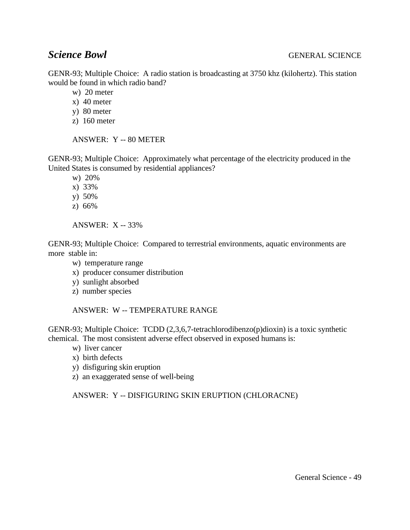GENR-93; Multiple Choice: A radio station is broadcasting at 3750 khz (kilohertz). This station would be found in which radio band?

w) 20 meter

x) 40 meter

- y) 80 meter
- z) 160 meter

ANSWER: Y -- 80 METER

GENR-93; Multiple Choice: Approximately what percentage of the electricity produced in the United States is consumed by residential appliances?

w) 20%

x) 33%

- y) 50%
- z) 66%

ANSWER: X -- 33%

GENR-93; Multiple Choice: Compared to terrestrial environments, aquatic environments are more stable in:

- w) temperature range
- x) producer consumer distribution
- y) sunlight absorbed
- z) number species

ANSWER: W -- TEMPERATURE RANGE

GENR-93; Multiple Choice: TCDD (2,3,6,7-tetrachlorodibenzo(p)dioxin) is a toxic synthetic chemical. The most consistent adverse effect observed in exposed humans is:

- w) liver cancer
- x) birth defects
- y) disfiguring skin eruption
- z) an exaggerated sense of well-being

ANSWER: Y -- DISFIGURING SKIN ERUPTION (CHLORACNE)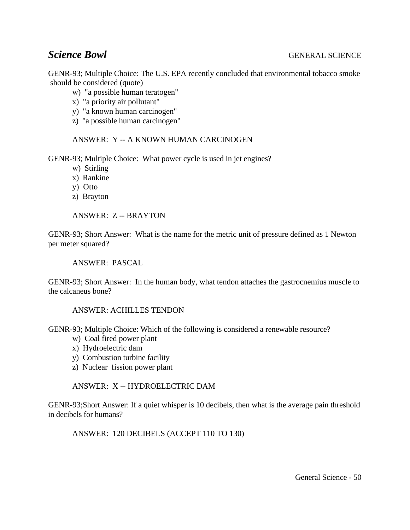GENR-93; Multiple Choice: The U.S. EPA recently concluded that environmental tobacco smoke should be considered (quote)

- w) "a possible human teratogen"
- x) "a priority air pollutant"
- y) "a known human carcinogen"
- z) "a possible human carcinogen"

### ANSWER: Y -- A KNOWN HUMAN CARCINOGEN

GENR-93; Multiple Choice: What power cycle is used in jet engines?

- w) Stirling
- x) Rankine
- y) Otto
- z) Brayton

ANSWER: Z -- BRAYTON

GENR-93; Short Answer: What is the name for the metric unit of pressure defined as 1 Newton per meter squared?

ANSWER: PASCAL

GENR-93; Short Answer: In the human body, what tendon attaches the gastrocnemius muscle to the calcaneus bone?

### ANSWER: ACHILLES TENDON

GENR-93; Multiple Choice: Which of the following is considered a renewable resource?

- w) Coal fired power plant
- x) Hydroelectric dam
- y) Combustion turbine facility
- z) Nuclear fission power plant

### ANSWER: X -- HYDROELECTRIC DAM

GENR-93;Short Answer: If a quiet whisper is 10 decibels, then what is the average pain threshold in decibels for humans?

ANSWER: 120 DECIBELS (ACCEPT 110 TO 130)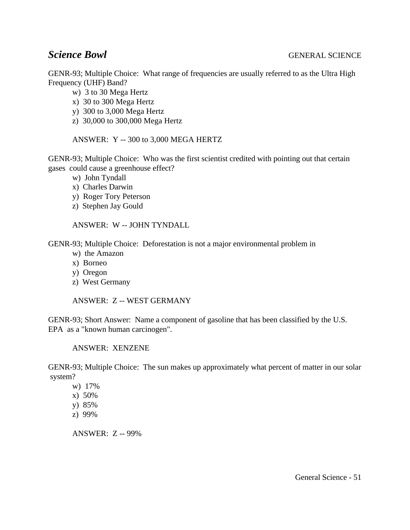GENR-93; Multiple Choice: What range of frequencies are usually referred to as the Ultra High Frequency (UHF) Band?

- w) 3 to 30 Mega Hertz
- x) 30 to 300 Mega Hertz
- y) 300 to 3,000 Mega Hertz
- z) 30,000 to 300,000 Mega Hertz

ANSWER: Y -- 300 to 3,000 MEGA HERTZ

GENR-93; Multiple Choice: Who was the first scientist credited with pointing out that certain gases could cause a greenhouse effect?

- w) John Tyndall
- x) Charles Darwin
- y) Roger Tory Peterson
- z) Stephen Jay Gould

ANSWER: W -- JOHN TYNDALL

GENR-93; Multiple Choice: Deforestation is not a major environmental problem in

- w) the Amazon
- x) Borneo
- y) Oregon
- z) West Germany

ANSWER: Z -- WEST GERMANY

GENR-93; Short Answer: Name a component of gasoline that has been classified by the U.S. EPA as a "known human carcinogen".

ANSWER: XENZENE

GENR-93; Multiple Choice: The sun makes up approximately what percent of matter in our solar system?

- w) 17%
- x) 50%
- y) 85%
- z) 99%

ANSWER: Z -- 99%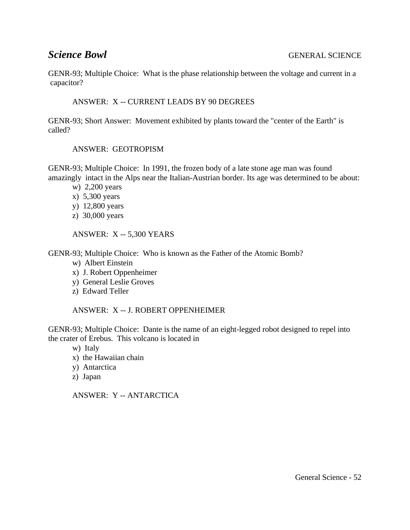GENR-93; Multiple Choice: What is the phase relationship between the voltage and current in a capacitor?

### ANSWER: X -- CURRENT LEADS BY 90 DEGREES

GENR-93; Short Answer: Movement exhibited by plants toward the "center of the Earth" is called?

ANSWER: GEOTROPISM

GENR-93; Multiple Choice: In 1991, the frozen body of a late stone age man was found amazingly intact in the Alps near the Italian-Austrian border. Its age was determined to be about:

- w) 2,200 years
- x) 5,300 years
- y) 12,800 years
- z) 30,000 years

ANSWER: X -- 5,300 YEARS

GENR-93; Multiple Choice: Who is known as the Father of the Atomic Bomb?

- w) Albert Einstein
- x) J. Robert Oppenheimer
- y) General Leslie Groves
- z) Edward Teller

ANSWER: X -- J. ROBERT OPPENHEIMER

GENR-93; Multiple Choice: Dante is the name of an eight-legged robot designed to repel into the crater of Erebus. This volcano is located in

- w) Italy
- x) the Hawaiian chain
- y) Antarctica
- z) Japan

ANSWER: Y -- ANTARCTICA